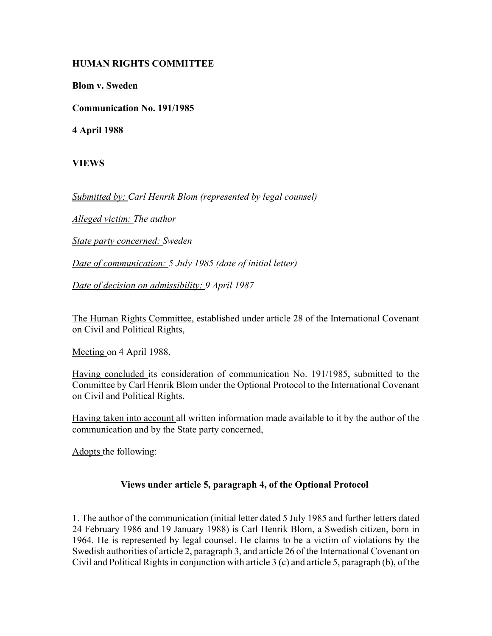## **HUMAN RIGHTS COMMITTEE**

**Blom v. Sweden**

**Communication No. 191/1985**

**4 April 1988**

**VIEWS**

*Submitted by: Carl Henrik Blom (represented by legal counsel)* 

*Alleged victim: The author* 

*State party concerned: Sweden* 

*Date of communication: 5 July 1985 (date of initial letter)* 

*Date of decision on admissibility: 9 April 1987* 

The Human Rights Committee, established under article 28 of the International Covenant on Civil and Political Rights,

Meeting on 4 April 1988,

Having concluded its consideration of communication No. 191/1985, submitted to the Committee by Carl Henrik Blom under the Optional Protocol to the International Covenant on Civil and Political Rights.

Having taken into account all written information made available to it by the author of the communication and by the State party concerned,

Adopts the following:

## **Views under article 5, paragraph 4, of the Optional Protocol**

1. The author of the communication (initial letter dated 5 July 1985 and further letters dated 24 February 1986 and 19 January 1988) is Carl Henrik Blom, a Swedish citizen, born in 1964. He is represented by legal counsel. He claims to be a victim of violations by the Swedish authorities of article 2, paragraph 3, and article 26 of the International Covenant on Civil and Political Rights in conjunction with article 3 (c) and article 5, paragraph (b), of the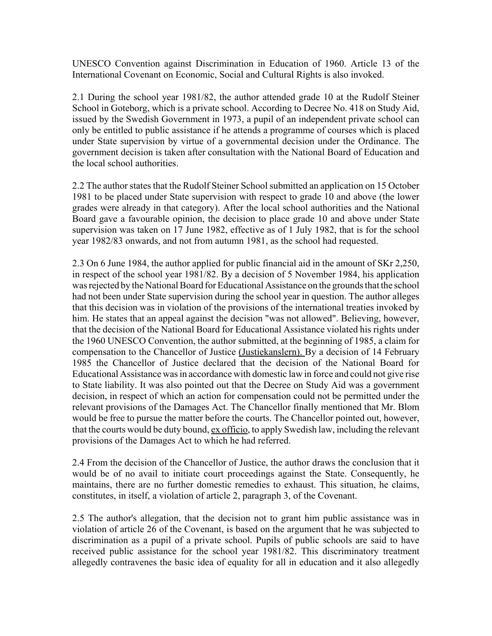UNESCO Convention against Discrimination in Education of 1960. Article 13 of the International Covenant on Economic, Social and Cultural Rights is also invoked.

2.1 During the school year 1981/82, the author attended grade 10 at the Rudolf Steiner School in Goteborg, which is a private school. According to Decree No. 418 on Study Aid, issued by the Swedish Government in 1973, a pupil of an independent private school can only be entitled to public assistance if he attends a programme of courses which is placed under State supervision by virtue of a governmental decision under the Ordinance. The government decision is taken after consultation with the National Board of Education and the local school authorities.

2.2 The author states that the Rudolf Steiner School submitted an application on 15 October 1981 to be placed under State supervision with respect to grade 10 and above (the lower grades were already in that category). After the local school authorities and the National Board gave a favourable opinion, the decision to place grade 10 and above under State supervision was taken on 17 June 1982, effective as of 1 July 1982, that is for the school year 1982/83 onwards, and not from autumn 1981, as the school had requested.

2.3 On 6 June 1984, the author applied for public financial aid in the amount of SKr 2,250, in respect of the school year 1981/82. By a decision of 5 November 1984, his application was rejected by the National Board for Educational Assistance on the grounds that the school had not been under State supervision during the school year in question. The author alleges that this decision was in violation of the provisions of the international treaties invoked by him. He states that an appeal against the decision "was not allowed". Believing, however, that the decision of the National Board for Educational Assistance violated his rights under the 1960 UNESCO Convention, the author submitted, at the beginning of 1985, a claim for compensation to the Chancellor of Justice (Justiekanslern). By a decision of 14 February 1985 the Chancellor of Justice declared that the decision of the National Board for Educational Assistance was in accordance with domestic law in force and could not give rise to State liability. It was also pointed out that the Decree on Study Aid was a government decision, in respect of which an action for compensation could not be permitted under the relevant provisions of the Damages Act. The Chancellor finally mentioned that Mr. Blom would be free to pursue the matter before the courts. The Chancellor pointed out, however, that the courts would be duty bound, ex officio, to apply Swedish law, including the relevant provisions of the Damages Act to which he had referred.

2.4 From the decision of the Chancellor of Justice, the author draws the conclusion that it would be of no avail to initiate court proceedings against the State. Consequently, he maintains, there are no further domestic remedies to exhaust. This situation, he claims, constitutes, in itself, a violation of article 2, paragraph 3, of the Covenant.

2.5 The author's allegation, that the decision not to grant him public assistance was in violation of article 26 of the Covenant, is based on the argument that he was subjected to discrimination as a pupil of a private school. Pupils of public schools are said to have received public assistance for the school year 1981/82. This discriminatory treatment allegedly contravenes the basic idea of equality for all in education and it also allegedly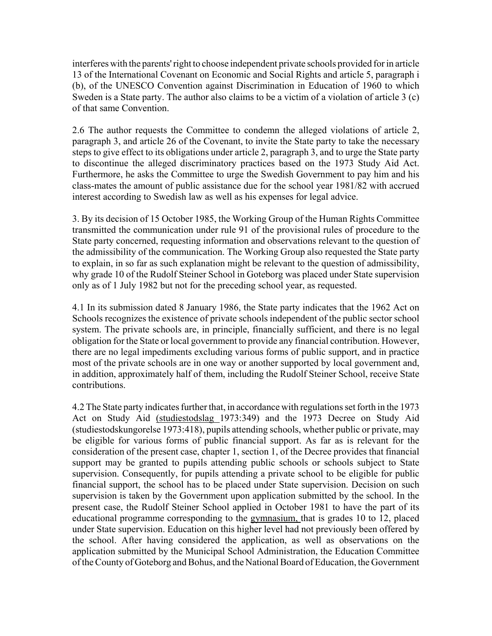interferes with the parents' right to choose independent private schools provided for in article 13 of the International Covenant on Economic and Social Rights and article 5, paragraph i (b), of the UNESCO Convention against Discrimination in Education of 1960 to which Sweden is a State party. The author also claims to be a victim of a violation of article 3 (c) of that same Convention.

2.6 The author requests the Committee to condemn the alleged violations of article 2, paragraph 3, and article 26 of the Covenant, to invite the State party to take the necessary steps to give effect to its obligations under article 2, paragraph 3, and to urge the State party to discontinue the alleged discriminatory practices based on the 1973 Study Aid Act. Furthermore, he asks the Committee to urge the Swedish Government to pay him and his class-mates the amount of public assistance due for the school year 1981/82 with accrued interest according to Swedish law as well as his expenses for legal advice.

3. By its decision of 15 October 1985, the Working Group of the Human Rights Committee transmitted the communication under rule 91 of the provisional rules of procedure to the State party concerned, requesting information and observations relevant to the question of the admissibility of the communication. The Working Group also requested the State party to explain, in so far as such explanation might be relevant to the question of admissibility, why grade 10 of the Rudolf Steiner School in Goteborg was placed under State supervision only as of 1 July 1982 but not for the preceding school year, as requested.

4.1 In its submission dated 8 January 1986, the State party indicates that the 1962 Act on Schools recognizes the existence of private schools independent of the public sector school system. The private schools are, in principle, financially sufficient, and there is no legal obligation for the State or local government to provide any financial contribution. However, there are no legal impediments excluding various forms of public support, and in practice most of the private schools are in one way or another supported by local government and, in addition, approximately half of them, including the Rudolf Steiner School, receive State contributions.

4.2 The State party indicates further that, in accordance with regulations set forth in the 1973 Act on Study Aid (studiestodslag 1973:349) and the 1973 Decree on Study Aid (studiestodskungorelse 1973:418), pupils attending schools, whether public or private, may be eligible for various forms of public financial support. As far as is relevant for the consideration of the present case, chapter 1, section 1, of the Decree provides that financial support may be granted to pupils attending public schools or schools subject to State supervision. Consequently, for pupils attending a private school to be eligible for public financial support, the school has to be placed under State supervision. Decision on such supervision is taken by the Government upon application submitted by the school. In the present case, the Rudolf Steiner School applied in October 1981 to have the part of its educational programme corresponding to the gymnasium, that is grades 10 to 12, placed under State supervision. Education on this higher level had not previously been offered by the school. After having considered the application, as well as observations on the application submitted by the Municipal School Administration, the Education Committee of the County of Goteborg and Bohus, and the National Board of Education, the Government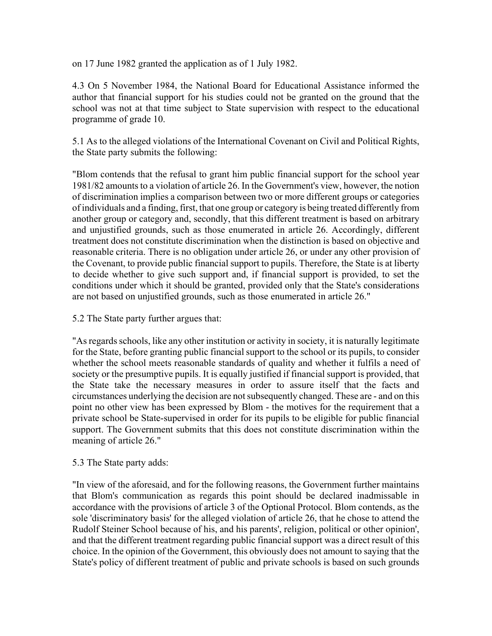on 17 June 1982 granted the application as of 1 July 1982.

4.3 On 5 November 1984, the National Board for Educational Assistance informed the author that financial support for his studies could not be granted on the ground that the school was not at that time subject to State supervision with respect to the educational programme of grade 10.

5.1 As to the alleged violations of the International Covenant on Civil and Political Rights, the State party submits the following:

"Blom contends that the refusal to grant him public financial support for the school year 1981/82 amounts to a violation of article 26. In the Government's view, however, the notion of discrimination implies a comparison between two or more different groups or categories of individuals and a finding, first, that one group or category is being treated differently from another group or category and, secondly, that this different treatment is based on arbitrary and unjustified grounds, such as those enumerated in article 26. Accordingly, different treatment does not constitute discrimination when the distinction is based on objective and reasonable criteria. There is no obligation under article 26, or under any other provision of the Covenant, to provide public financial support to pupils. Therefore, the State is at liberty to decide whether to give such support and, if financial support is provided, to set the conditions under which it should be granted, provided only that the State's considerations are not based on unjustified grounds, such as those enumerated in article 26."

5.2 The State party further argues that:

"As regards schools, like any other institution or activity in society, it is naturally legitimate for the State, before granting public financial support to the school or its pupils, to consider whether the school meets reasonable standards of quality and whether it fulfils a need of society or the presumptive pupils. It is equally justified if financial support is provided, that the State take the necessary measures in order to assure itself that the facts and circumstances underlying the decision are not subsequently changed. These are - and on this point no other view has been expressed by Blom - the motives for the requirement that a private school be State-supervised in order for its pupils to be eligible for public financial support. The Government submits that this does not constitute discrimination within the meaning of article 26."

## 5.3 The State party adds:

"In view of the aforesaid, and for the following reasons, the Government further maintains that Blom's communication as regards this point should be declared inadmissable in accordance with the provisions of article 3 of the Optional Protocol. Blom contends, as the sole 'discriminatory basis' for the alleged violation of article 26, that he chose to attend the Rudolf Steiner School because of his, and his parents', religion, political or other opinion', and that the different treatment regarding public financial support was a direct result of this choice. In the opinion of the Government, this obviously does not amount to saying that the State's policy of different treatment of public and private schools is based on such grounds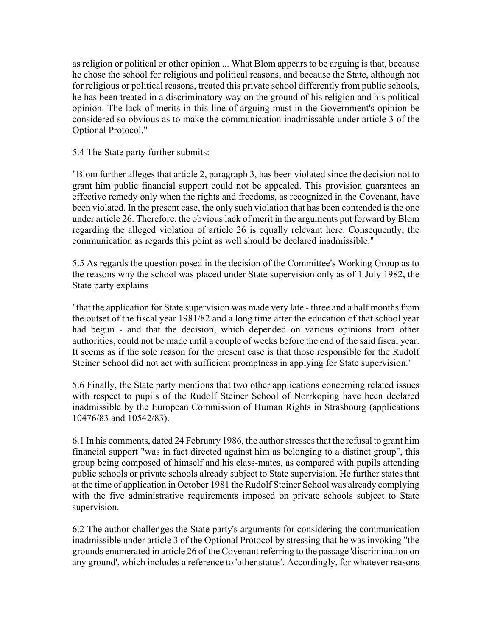as religion or political or other opinion ... What Blom appears to be arguing is that, because he chose the school for religious and political reasons, and because the State, although not for religious or political reasons, treated this private school differently from public schools, he has been treated in a discriminatory way on the ground of his religion and his political opinion. The lack of merits in this line of arguing must in the Government's opinion be considered so obvious as to make the communication inadmissable under article 3 of the Optional Protocol."

5.4 The State party further submits:

"Blom further alleges that article 2, paragraph 3, has been violated since the decision not to grant him public financial support could not be appealed. This provision guarantees an effective remedy only when the rights and freedoms, as recognized in the Covenant, have been violated. In the present case, the only such violation that has been contended is the one under article 26. Therefore, the obvious lack of merit in the arguments put forward by Blom regarding the alleged violation of article 26 is equally relevant here. Consequently, the communication as regards this point as well should be declared inadmissible."

5.5 As regards the question posed in the decision of the Committee's Working Group as to the reasons why the school was placed under State supervision only as of 1 July 1982, the State party explains

"that the application for State supervision was made very late - three and a half months from the outset of the fiscal year 1981/82 and a long time after the education of that school year had begun - and that the decision, which depended on various opinions from other authorities, could not be made until a couple of weeks before the end of the said fiscal year. It seems as if the sole reason for the present case is that those responsible for the Rudolf Steiner School did not act with sufficient promptness in applying for State supervision."

5.6 Finally, the State party mentions that two other applications concerning related issues with respect to pupils of the Rudolf Steiner School of Norrkoping have been declared inadmissible by the European Commission of Human Rights in Strasbourg (applications 10476/83 and 10542/83).

6.1 In his comments, dated 24 February 1986, the author stresses that the refusal to grant him financial support "was in fact directed against him as belonging to a distinct group", this group being composed of himself and his class-mates, as compared with pupils attending public schools or private schools already subject to State supervision. He further states that at the time of application in October 1981 the Rudolf Steiner School was already complying with the five administrative requirements imposed on private schools subject to State supervision.

6.2 The author challenges the State party's arguments for considering the communication inadmissible under article 3 of the Optional Protocol by stressing that he was invoking "the grounds enumerated in article 26 of the Covenant referring to the passage 'discrimination on any ground', which includes a reference to 'other status'. Accordingly, for whatever reasons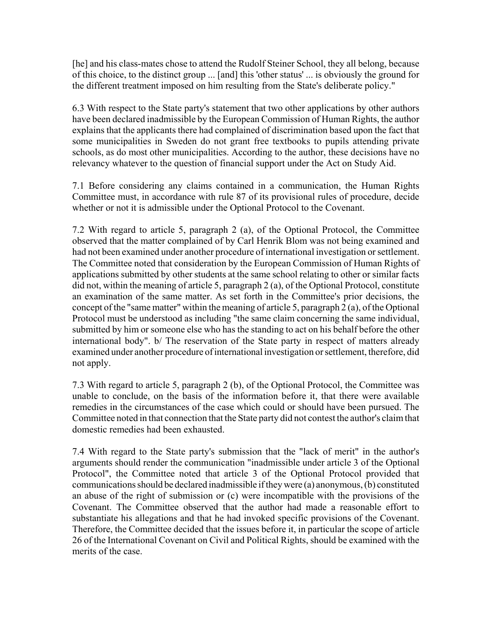[he] and his class-mates chose to attend the Rudolf Steiner School, they all belong, because of this choice, to the distinct group ... [and] this 'other status' ... is obviously the ground for the different treatment imposed on him resulting from the State's deliberate policy."

6.3 With respect to the State party's statement that two other applications by other authors have been declared inadmissible by the European Commission of Human Rights, the author explains that the applicants there had complained of discrimination based upon the fact that some municipalities in Sweden do not grant free textbooks to pupils attending private schools, as do most other municipalities. According to the author, these decisions have no relevancy whatever to the question of financial support under the Act on Study Aid.

7.1 Before considering any claims contained in a communication, the Human Rights Committee must, in accordance with rule 87 of its provisional rules of procedure, decide whether or not it is admissible under the Optional Protocol to the Covenant.

7.2 With regard to article 5, paragraph 2 (a), of the Optional Protocol, the Committee observed that the matter complained of by Carl Henrik Blom was not being examined and had not been examined under another procedure of international investigation or settlement. The Committee noted that consideration by the European Commission of Human Rights of applications submitted by other students at the same school relating to other or similar facts did not, within the meaning of article 5, paragraph 2 (a), of the Optional Protocol, constitute an examination of the same matter. As set forth in the Committee's prior decisions, the concept of the "same matter" within the meaning of article 5, paragraph 2 (a), of the Optional Protocol must be understood as including "the same claim concerning the same individual, submitted by him or someone else who has the standing to act on his behalf before the other international body". b/ The reservation of the State party in respect of matters already examined under another procedure of international investigation or settlement, therefore, did not apply.

7.3 With regard to article 5, paragraph 2 (b), of the Optional Protocol, the Committee was unable to conclude, on the basis of the information before it, that there were available remedies in the circumstances of the case which could or should have been pursued. The Committee noted in that connection that the State party did not contest the author's claim that domestic remedies had been exhausted.

7.4 With regard to the State party's submission that the "lack of merit" in the author's arguments should render the communication "inadmissible under article 3 of the Optional Protocol", the Committee noted that article 3 of the Optional Protocol provided that communications should be declared inadmissible if they were (a) anonymous, (b) constituted an abuse of the right of submission or (c) were incompatible with the provisions of the Covenant. The Committee observed that the author had made a reasonable effort to substantiate his allegations and that he had invoked specific provisions of the Covenant. Therefore, the Committee decided that the issues before it, in particular the scope of article 26 of the International Covenant on Civil and Political Rights, should be examined with the merits of the case.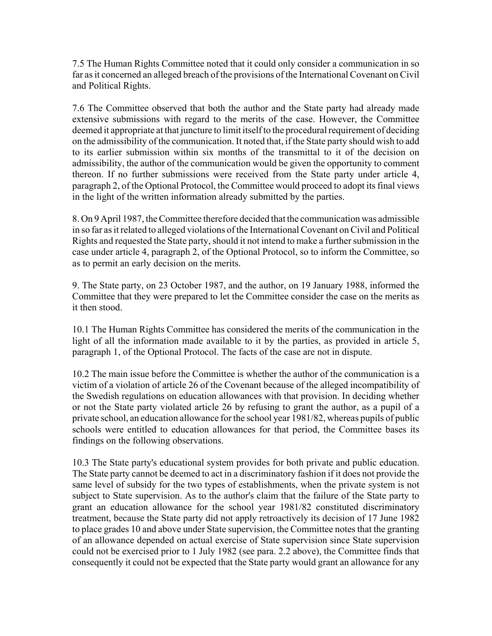7.5 The Human Rights Committee noted that it could only consider a communication in so far as it concerned an alleged breach of the provisions of the International Covenant on Civil and Political Rights.

7.6 The Committee observed that both the author and the State party had already made extensive submissions with regard to the merits of the case. However, the Committee deemed it appropriate at that juncture to limit itself to the procedural requirement of deciding on the admissibility of the communication. It noted that, if the State party should wish to add to its earlier submission within six months of the transmittal to it of the decision on admissibility, the author of the communication would be given the opportunity to comment thereon. If no further submissions were received from the State party under article 4, paragraph 2, of the Optional Protocol, the Committee would proceed to adopt its final views in the light of the written information already submitted by the parties.

8. On 9 April 1987, the Committee therefore decided that the communication was admissible in so far as it related to alleged violations of the International Covenant on Civil and Political Rights and requested the State party, should it not intend to make a further submission in the case under article 4, paragraph 2, of the Optional Protocol, so to inform the Committee, so as to permit an early decision on the merits.

9. The State party, on 23 October 1987, and the author, on 19 January 1988, informed the Committee that they were prepared to let the Committee consider the case on the merits as it then stood.

10.1 The Human Rights Committee has considered the merits of the communication in the light of all the information made available to it by the parties, as provided in article 5, paragraph 1, of the Optional Protocol. The facts of the case are not in dispute.

10.2 The main issue before the Committee is whether the author of the communication is a victim of a violation of article 26 of the Covenant because of the alleged incompatibility of the Swedish regulations on education allowances with that provision. In deciding whether or not the State party violated article 26 by refusing to grant the author, as a pupil of a private school, an education allowance for the school year 1981/82, whereas pupils of public schools were entitled to education allowances for that period, the Committee bases its findings on the following observations.

10.3 The State party's educational system provides for both private and public education. The State party cannot be deemed to act in a discriminatory fashion if it does not provide the same level of subsidy for the two types of establishments, when the private system is not subject to State supervision. As to the author's claim that the failure of the State party to grant an education allowance for the school year 1981/82 constituted discriminatory treatment, because the State party did not apply retroactively its decision of 17 June 1982 to place grades 10 and above under State supervision, the Committee notes that the granting of an allowance depended on actual exercise of State supervision since State supervision could not be exercised prior to 1 July 1982 (see para. 2.2 above), the Committee finds that consequently it could not be expected that the State party would grant an allowance for any